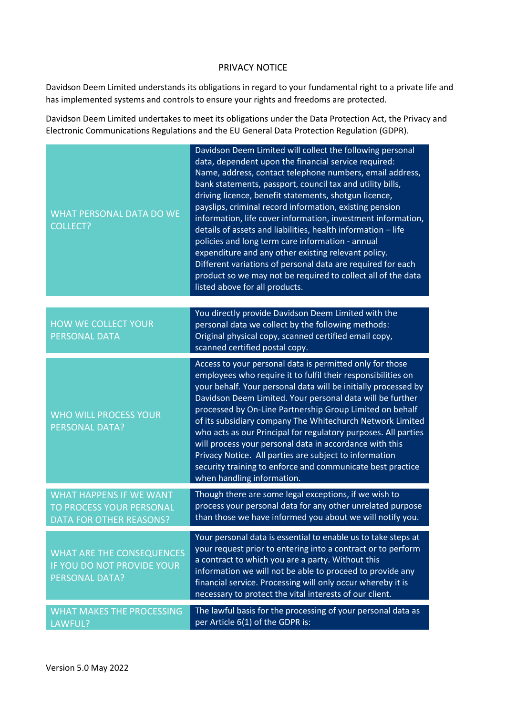## PRIVACY NOTICE

Davidson Deem Limited understands its obligations in regard to your fundamental right to a private life and has implemented systems and controls to ensure your rights and freedoms are protected.

Davidson Deem Limited undertakes to meet its obligations under the Data Protection Act, the Privacy and Electronic Communications Regulations and the EU General Data Protection Regulation (GDPR).

| <b>WHAT PERSONAL DATA DO WE</b><br><b>COLLECT?</b>                                           | Davidson Deem Limited will collect the following personal<br>data, dependent upon the financial service required:<br>Name, address, contact telephone numbers, email address,<br>bank statements, passport, council tax and utility bills,<br>driving licence, benefit statements, shotgun licence,<br>payslips, criminal record information, existing pension<br>information, life cover information, investment information,<br>details of assets and liabilities, health information - life<br>policies and long term care information - annual<br>expenditure and any other existing relevant policy.<br>Different variations of personal data are required for each<br>product so we may not be required to collect all of the data<br>listed above for all products. |
|----------------------------------------------------------------------------------------------|----------------------------------------------------------------------------------------------------------------------------------------------------------------------------------------------------------------------------------------------------------------------------------------------------------------------------------------------------------------------------------------------------------------------------------------------------------------------------------------------------------------------------------------------------------------------------------------------------------------------------------------------------------------------------------------------------------------------------------------------------------------------------|
| <b>HOW WE COLLECT YOUR</b><br><b>PERSONAL DATA</b>                                           | You directly provide Davidson Deem Limited with the<br>personal data we collect by the following methods:<br>Original physical copy, scanned certified email copy,<br>scanned certified postal copy.                                                                                                                                                                                                                                                                                                                                                                                                                                                                                                                                                                       |
| <b>WHO WILL PROCESS YOUR</b><br><b>PERSONAL DATA?</b>                                        | Access to your personal data is permitted only for those<br>employees who require it to fulfil their responsibilities on<br>your behalf. Your personal data will be initially processed by<br>Davidson Deem Limited. Your personal data will be further<br>processed by On-Line Partnership Group Limited on behalf<br>of its subsidiary company The Whitechurch Network Limited<br>who acts as our Principal for regulatory purposes. All parties<br>will process your personal data in accordance with this<br>Privacy Notice. All parties are subject to information<br>security training to enforce and communicate best practice<br>when handling information.                                                                                                        |
| <b>WHAT HAPPENS IF WE WANT</b><br>TO PROCESS YOUR PERSONAL<br><b>DATA FOR OTHER REASONS?</b> | Though there are some legal exceptions, if we wish to<br>process your personal data for any other unrelated purpose<br>than those we have informed you about we will notify you.                                                                                                                                                                                                                                                                                                                                                                                                                                                                                                                                                                                           |
| <b>WHAT ARE THE CONSEQUENCES</b><br>IF YOU DO NOT PROVIDE YOUR<br><b>PERSONAL DATA?</b>      | Your personal data is essential to enable us to take steps at<br>your request prior to entering into a contract or to perform<br>a contract to which you are a party. Without this<br>information we will not be able to proceed to provide any<br>financial service. Processing will only occur whereby it is<br>necessary to protect the vital interests of our client.                                                                                                                                                                                                                                                                                                                                                                                                  |
| <b>WHAT MAKES THE PROCESSING</b><br>LAWFUL?                                                  | The lawful basis for the processing of your personal data as<br>per Article 6(1) of the GDPR is:                                                                                                                                                                                                                                                                                                                                                                                                                                                                                                                                                                                                                                                                           |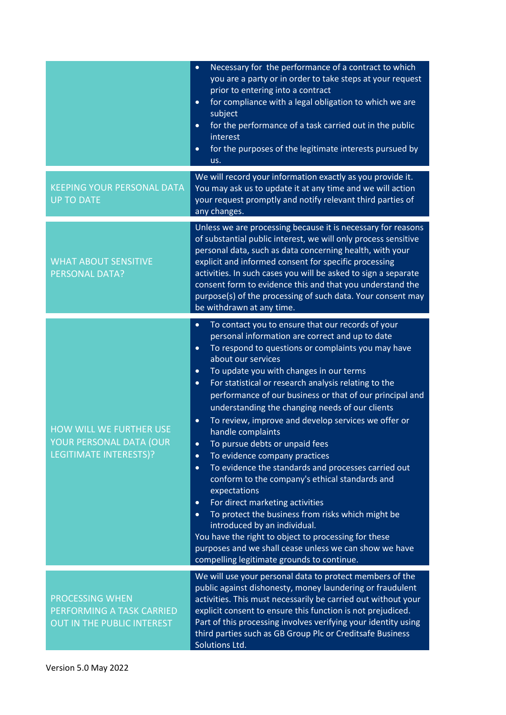|                                                                                            | Necessary for the performance of a contract to which<br>$\bullet$<br>you are a party or in order to take steps at your request<br>prior to entering into a contract<br>for compliance with a legal obligation to which we are<br>$\bullet$<br>subject<br>for the performance of a task carried out in the public<br>$\bullet$<br>interest<br>for the purposes of the legitimate interests pursued by<br>$\bullet$<br>us.                                                                                                                                                                                                                                                                                                                                                                                                                                                                                                                                                                                                                                                                             |
|--------------------------------------------------------------------------------------------|------------------------------------------------------------------------------------------------------------------------------------------------------------------------------------------------------------------------------------------------------------------------------------------------------------------------------------------------------------------------------------------------------------------------------------------------------------------------------------------------------------------------------------------------------------------------------------------------------------------------------------------------------------------------------------------------------------------------------------------------------------------------------------------------------------------------------------------------------------------------------------------------------------------------------------------------------------------------------------------------------------------------------------------------------------------------------------------------------|
| <b>KEEPING YOUR PERSONAL DATA</b><br><b>UP TO DATE</b>                                     | We will record your information exactly as you provide it.<br>You may ask us to update it at any time and we will action<br>your request promptly and notify relevant third parties of<br>any changes.                                                                                                                                                                                                                                                                                                                                                                                                                                                                                                                                                                                                                                                                                                                                                                                                                                                                                               |
| <b>WHAT ABOUT SENSITIVE</b><br><b>PERSONAL DATA?</b>                                       | Unless we are processing because it is necessary for reasons<br>of substantial public interest, we will only process sensitive<br>personal data, such as data concerning health, with your<br>explicit and informed consent for specific processing<br>activities. In such cases you will be asked to sign a separate<br>consent form to evidence this and that you understand the<br>purpose(s) of the processing of such data. Your consent may<br>be withdrawn at any time.                                                                                                                                                                                                                                                                                                                                                                                                                                                                                                                                                                                                                       |
| <b>HOW WILL WE FURTHER USE</b><br>YOUR PERSONAL DATA (OUR<br><b>LEGITIMATE INTERESTS)?</b> | To contact you to ensure that our records of your<br>$\bullet$<br>personal information are correct and up to date<br>To respond to questions or complaints you may have<br>$\bullet$<br>about our services<br>To update you with changes in our terms<br>$\bullet$<br>For statistical or research analysis relating to the<br>$\bullet$<br>performance of our business or that of our principal and<br>understanding the changing needs of our clients<br>To review, improve and develop services we offer or<br>$\bullet$<br>handle complaints<br>To pursue debts or unpaid fees<br>$\bullet$<br>To evidence company practices<br>$\bullet$<br>To evidence the standards and processes carried out<br>$\bullet$<br>conform to the company's ethical standards and<br>expectations<br>For direct marketing activities<br>$\bullet$<br>To protect the business from risks which might be<br>$\bullet$<br>introduced by an individual.<br>You have the right to object to processing for these<br>purposes and we shall cease unless we can show we have<br>compelling legitimate grounds to continue. |
| <b>PROCESSING WHEN</b><br>PERFORMING A TASK CARRIED<br>OUT IN THE PUBLIC INTEREST          | We will use your personal data to protect members of the<br>public against dishonesty, money laundering or fraudulent<br>activities. This must necessarily be carried out without your<br>explicit consent to ensure this function is not prejudiced.<br>Part of this processing involves verifying your identity using<br>third parties such as GB Group Plc or Creditsafe Business<br>Solutions Ltd.                                                                                                                                                                                                                                                                                                                                                                                                                                                                                                                                                                                                                                                                                               |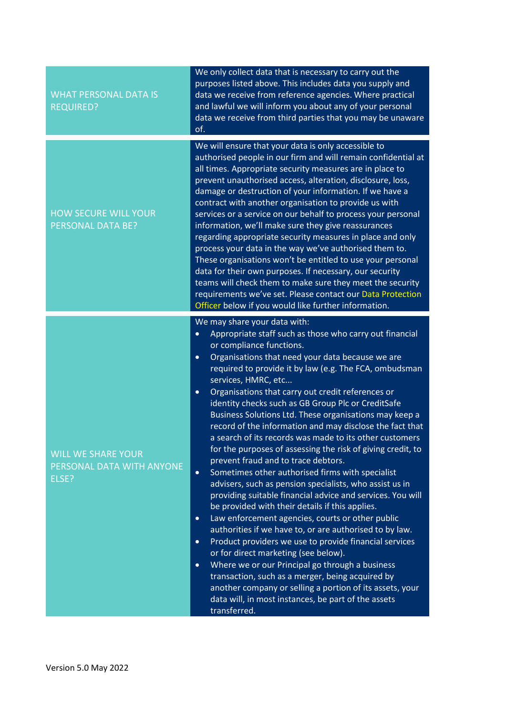| <b>WHAT PERSONAL DATA IS</b><br><b>REQUIRED?</b>                | We only collect data that is necessary to carry out the<br>purposes listed above. This includes data you supply and<br>data we receive from reference agencies. Where practical<br>and lawful we will inform you about any of your personal<br>data we receive from third parties that you may be unaware<br>of.                                                                                                                                                                                                                                                                                                                                                                                                                                                                                                                                                                                                                                                                                                                                                                                                                                                                                                                                                                                                                                                                                                                                 |
|-----------------------------------------------------------------|--------------------------------------------------------------------------------------------------------------------------------------------------------------------------------------------------------------------------------------------------------------------------------------------------------------------------------------------------------------------------------------------------------------------------------------------------------------------------------------------------------------------------------------------------------------------------------------------------------------------------------------------------------------------------------------------------------------------------------------------------------------------------------------------------------------------------------------------------------------------------------------------------------------------------------------------------------------------------------------------------------------------------------------------------------------------------------------------------------------------------------------------------------------------------------------------------------------------------------------------------------------------------------------------------------------------------------------------------------------------------------------------------------------------------------------------------|
| <b>HOW SECURE WILL YOUR</b><br><b>PERSONAL DATA BE?</b>         | We will ensure that your data is only accessible to<br>authorised people in our firm and will remain confidential at<br>all times. Appropriate security measures are in place to<br>prevent unauthorised access, alteration, disclosure, loss,<br>damage or destruction of your information. If we have a<br>contract with another organisation to provide us with<br>services or a service on our behalf to process your personal<br>information, we'll make sure they give reassurances<br>regarding appropriate security measures in place and only<br>process your data in the way we've authorised them to.<br>These organisations won't be entitled to use your personal<br>data for their own purposes. If necessary, our security<br>teams will check them to make sure they meet the security<br>requirements we've set. Please contact our Data Protection<br>Officer below if you would like further information.                                                                                                                                                                                                                                                                                                                                                                                                                                                                                                                     |
| <b>WILL WE SHARE YOUR</b><br>PERSONAL DATA WITH ANYONE<br>ELSE? | We may share your data with:<br>Appropriate staff such as those who carry out financial<br>$\bullet$<br>or compliance functions.<br>Organisations that need your data because we are<br>$\bullet$<br>required to provide it by law (e.g. The FCA, ombudsman<br>services, HMRC, etc<br>Organisations that carry out credit references or<br>$\bullet$<br>identity checks such as GB Group Plc or CreditSafe<br>Business Solutions Ltd. These organisations may keep a<br>record of the information and may disclose the fact that<br>a search of its records was made to its other customers<br>for the purposes of assessing the risk of giving credit, to<br>prevent fraud and to trace debtors.<br>Sometimes other authorised firms with specialist<br>$\bullet$<br>advisers, such as pension specialists, who assist us in<br>providing suitable financial advice and services. You will<br>be provided with their details if this applies.<br>Law enforcement agencies, courts or other public<br>$\bullet$<br>authorities if we have to, or are authorised to by law.<br>Product providers we use to provide financial services<br>$\bullet$<br>or for direct marketing (see below).<br>Where we or our Principal go through a business<br>$\bullet$<br>transaction, such as a merger, being acquired by<br>another company or selling a portion of its assets, your<br>data will, in most instances, be part of the assets<br>transferred. |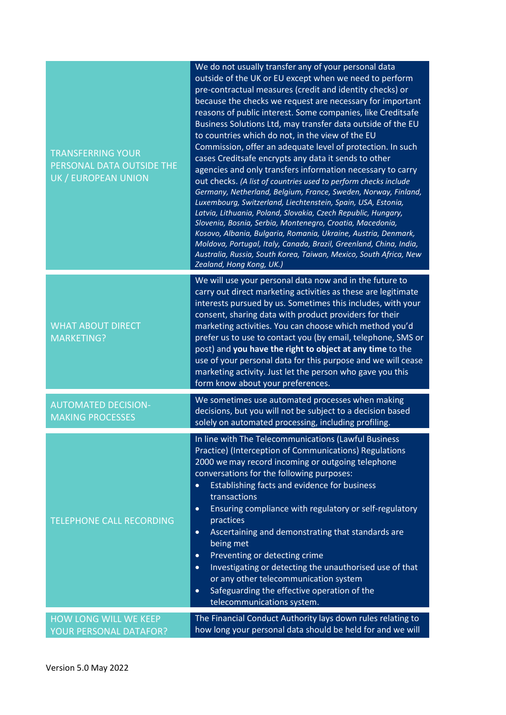| <b>TRANSFERRING YOUR</b><br>PERSONAL DATA OUTSIDE THE<br>UK / EUROPEAN UNION | We do not usually transfer any of your personal data<br>outside of the UK or EU except when we need to perform<br>pre-contractual measures (credit and identity checks) or<br>because the checks we request are necessary for important<br>reasons of public interest. Some companies, like Creditsafe<br>Business Solutions Ltd, may transfer data outside of the EU<br>to countries which do not, in the view of the EU<br>Commission, offer an adequate level of protection. In such<br>cases Creditsafe encrypts any data it sends to other<br>agencies and only transfers information necessary to carry<br>out checks. (A list of countries used to perform checks include<br>Germany, Netherland, Belgium, France, Sweden, Norway, Finland,<br>Luxembourg, Switzerland, Liechtenstein, Spain, USA, Estonia,<br>Latvia, Lithuania, Poland, Slovakia, Czech Republic, Hungary,<br>Slovenia, Bosnia, Serbia, Montenegro, Croatia, Macedonia,<br>Kosovo, Albania, Bulgaria, Romania, Ukraine, Austria, Denmark,<br>Moldova, Portugal, Italy, Canada, Brazil, Greenland, China, India,<br>Australia, Russia, South Korea, Taiwan, Mexico, South Africa, New<br>Zealand, Hong Kong, UK.) |
|------------------------------------------------------------------------------|-------------------------------------------------------------------------------------------------------------------------------------------------------------------------------------------------------------------------------------------------------------------------------------------------------------------------------------------------------------------------------------------------------------------------------------------------------------------------------------------------------------------------------------------------------------------------------------------------------------------------------------------------------------------------------------------------------------------------------------------------------------------------------------------------------------------------------------------------------------------------------------------------------------------------------------------------------------------------------------------------------------------------------------------------------------------------------------------------------------------------------------------------------------------------------------------|
| <b>WHAT ABOUT DIRECT</b><br><b>MARKETING?</b>                                | We will use your personal data now and in the future to<br>carry out direct marketing activities as these are legitimate<br>interests pursued by us. Sometimes this includes, with your<br>consent, sharing data with product providers for their<br>marketing activities. You can choose which method you'd<br>prefer us to use to contact you (by email, telephone, SMS or<br>post) and you have the right to object at any time to the<br>use of your personal data for this purpose and we will cease<br>marketing activity. Just let the person who gave you this<br>form know about your preferences.                                                                                                                                                                                                                                                                                                                                                                                                                                                                                                                                                                               |
| <b>AUTOMATED DECISION-</b><br><b>MAKING PROCESSES</b>                        | We sometimes use automated processes when making<br>decisions, but you will not be subject to a decision based<br>solely on automated processing, including profiling.                                                                                                                                                                                                                                                                                                                                                                                                                                                                                                                                                                                                                                                                                                                                                                                                                                                                                                                                                                                                                    |
| <b>TELEPHONE CALL RECORDING</b>                                              | In line with The Telecommunications (Lawful Business<br>Practice) (Interception of Communications) Regulations<br>2000 we may record incoming or outgoing telephone<br>conversations for the following purposes:<br>Establishing facts and evidence for business<br>$\bullet$<br>transactions<br>Ensuring compliance with regulatory or self-regulatory<br>$\bullet$<br>practices<br>Ascertaining and demonstrating that standards are<br>$\bullet$<br>being met<br>Preventing or detecting crime<br>$\bullet$<br>Investigating or detecting the unauthorised use of that<br>$\bullet$<br>or any other telecommunication system<br>Safeguarding the effective operation of the<br>$\bullet$<br>telecommunications system.                                                                                                                                                                                                                                                                                                                                                                                                                                                                 |
| <b>HOW LONG WILL WE KEEP</b><br>YOUR PERSONAL DATAFOR?                       | The Financial Conduct Authority lays down rules relating to<br>how long your personal data should be held for and we will                                                                                                                                                                                                                                                                                                                                                                                                                                                                                                                                                                                                                                                                                                                                                                                                                                                                                                                                                                                                                                                                 |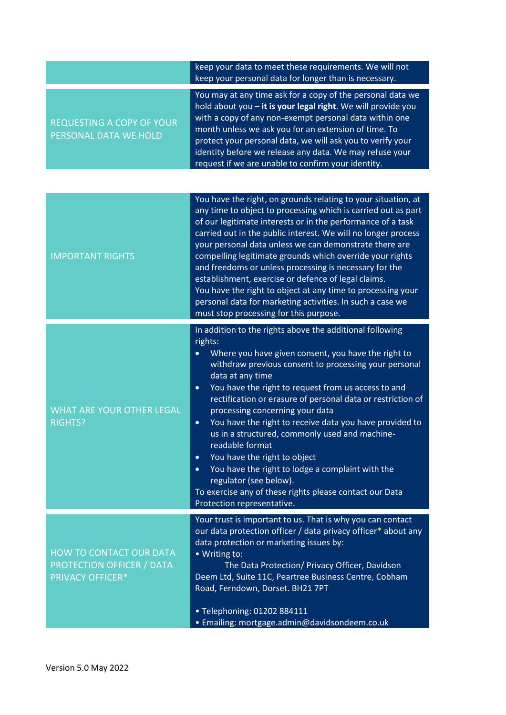|                                                                                        | keep your data to meet these requirements. We will not<br>keep your personal data for longer than is necessary.                                                                                                                                                                                                                                                                                                                                                                                                                                                                                                                                                                                                                                             |
|----------------------------------------------------------------------------------------|-------------------------------------------------------------------------------------------------------------------------------------------------------------------------------------------------------------------------------------------------------------------------------------------------------------------------------------------------------------------------------------------------------------------------------------------------------------------------------------------------------------------------------------------------------------------------------------------------------------------------------------------------------------------------------------------------------------------------------------------------------------|
| <b>REQUESTING A COPY OF YOUR</b><br>PERSONAL DATA WE HOLD                              | You may at any time ask for a copy of the personal data we<br>hold about you - it is your legal right. We will provide you<br>with a copy of any non-exempt personal data within one<br>month unless we ask you for an extension of time. To<br>protect your personal data, we will ask you to verify your<br>identity before we release any data. We may refuse your<br>request if we are unable to confirm your identity.                                                                                                                                                                                                                                                                                                                                 |
|                                                                                        |                                                                                                                                                                                                                                                                                                                                                                                                                                                                                                                                                                                                                                                                                                                                                             |
| <b>IMPORTANT RIGHTS</b>                                                                | You have the right, on grounds relating to your situation, at<br>any time to object to processing which is carried out as part<br>of our legitimate interests or in the performance of a task<br>carried out in the public interest. We will no longer process<br>your personal data unless we can demonstrate there are<br>compelling legitimate grounds which override your rights<br>and freedoms or unless processing is necessary for the<br>establishment, exercise or defence of legal claims.<br>You have the right to object at any time to processing your<br>personal data for marketing activities. In such a case we<br>must stop processing for this purpose.                                                                                 |
| <b>WHAT ARE YOUR OTHER LEGAL</b><br><b>RIGHTS?</b>                                     | In addition to the rights above the additional following<br>rights:<br>Where you have given consent, you have the right to<br>withdraw previous consent to processing your personal<br>data at any time<br>You have the right to request from us access to and<br>$\bullet$<br>rectification or erasure of personal data or restriction of<br>processing concerning your data<br>You have the right to receive data you have provided to<br>$\bullet$<br>us in a structured, commonly used and machine-<br>readable format<br>You have the right to object<br>$\bullet$<br>You have the right to lodge a complaint with the<br>$\bullet$<br>regulator (see below).<br>To exercise any of these rights please contact our Data<br>Protection representative. |
| <b>HOW TO CONTACT OUR DATA</b><br>PROTECTION OFFICER / DATA<br><b>PRIVACY OFFICER*</b> | Your trust is important to us. That is why you can contact<br>our data protection officer / data privacy officer* about any<br>data protection or marketing issues by:<br>• Writing to:<br>The Data Protection/ Privacy Officer, Davidson<br>Deem Ltd, Suite 11C, Peartree Business Centre, Cobham<br>Road, Ferndown, Dorset. BH21 7PT<br>· Telephoning: 01202 884111<br>· Emailing: mortgage.admin@davidsondeem.co.uk                                                                                                                                                                                                                                                                                                                                      |